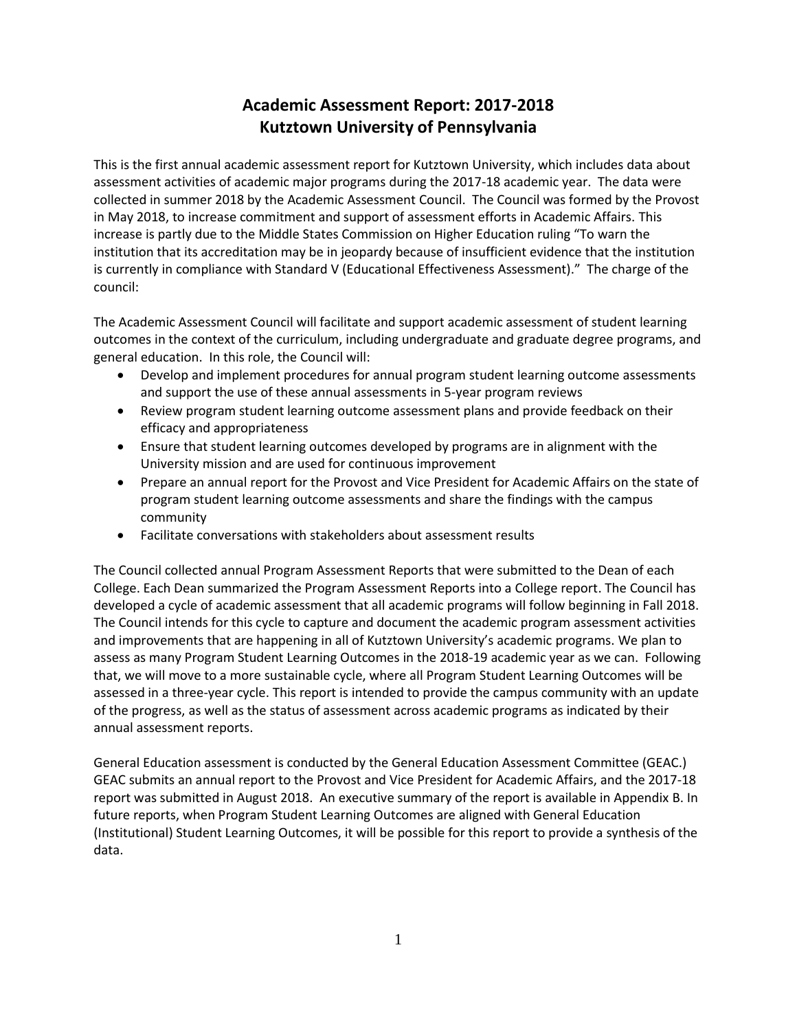# **Academic Assessment Report: 2017-2018 Kutztown University of Pennsylvania**

This is the first annual academic assessment report for Kutztown University, which includes data about assessment activities of academic major programs during the 2017-18 academic year. The data were collected in summer 2018 by the Academic Assessment Council. The Council was formed by the Provost in May 2018, to increase commitment and support of assessment efforts in Academic Affairs. This increase is partly due to the Middle States Commission on Higher Education ruling "To warn the institution that its accreditation may be in jeopardy because of insufficient evidence that the institution is currently in compliance with Standard V (Educational Effectiveness Assessment)." The charge of the council:

The Academic Assessment Council will facilitate and support academic assessment of student learning outcomes in the context of the curriculum, including undergraduate and graduate degree programs, and general education. In this role, the Council will:

- Develop and implement procedures for annual program student learning outcome assessments and support the use of these annual assessments in 5-year program reviews
- Review program student learning outcome assessment plans and provide feedback on their efficacy and appropriateness
- Ensure that student learning outcomes developed by programs are in alignment with the University mission and are used for continuous improvement
- Prepare an annual report for the Provost and Vice President for Academic Affairs on the state of program student learning outcome assessments and share the findings with the campus community
- Facilitate conversations with stakeholders about assessment results

The Council collected annual Program Assessment Reports that were submitted to the Dean of each College. Each Dean summarized the Program Assessment Reports into a College report. The Council has developed a cycle of academic assessment that all academic programs will follow beginning in Fall 2018. The Council intends for this cycle to capture and document the academic program assessment activities and improvements that are happening in all of Kutztown University's academic programs. We plan to assess as many Program Student Learning Outcomes in the 2018-19 academic year as we can. Following that, we will move to a more sustainable cycle, where all Program Student Learning Outcomes will be assessed in a three-year cycle. This report is intended to provide the campus community with an update of the progress, as well as the status of assessment across academic programs as indicated by their annual assessment reports.

General Education assessment is conducted by the General Education Assessment Committee (GEAC.) GEAC submits an annual report to the Provost and Vice President for Academic Affairs, and the 2017-18 report was submitted in August 2018. An executive summary of the report is available in Appendix B. In future reports, when Program Student Learning Outcomes are aligned with General Education (Institutional) Student Learning Outcomes, it will be possible for this report to provide a synthesis of the data.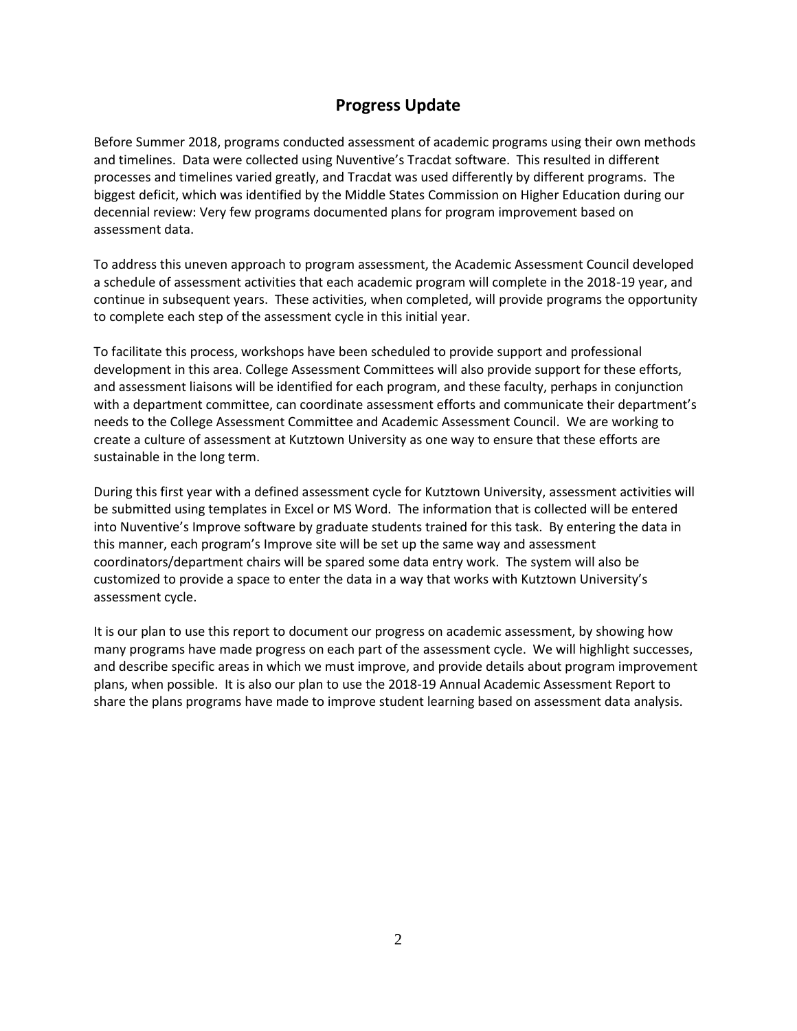# **Progress Update**

Before Summer 2018, programs conducted assessment of academic programs using their own methods and timelines. Data were collected using Nuventive's Tracdat software. This resulted in different processes and timelines varied greatly, and Tracdat was used differently by different programs. The biggest deficit, which was identified by the Middle States Commission on Higher Education during our decennial review: Very few programs documented plans for program improvement based on assessment data.

To address this uneven approach to program assessment, the Academic Assessment Council developed a schedule of assessment activities that each academic program will complete in the 2018-19 year, and continue in subsequent years. These activities, when completed, will provide programs the opportunity to complete each step of the assessment cycle in this initial year.

To facilitate this process, workshops have been scheduled to provide support and professional development in this area. College Assessment Committees will also provide support for these efforts, and assessment liaisons will be identified for each program, and these faculty, perhaps in conjunction with a department committee, can coordinate assessment efforts and communicate their department's needs to the College Assessment Committee and Academic Assessment Council. We are working to create a culture of assessment at Kutztown University as one way to ensure that these efforts are sustainable in the long term.

During this first year with a defined assessment cycle for Kutztown University, assessment activities will be submitted using templates in Excel or MS Word. The information that is collected will be entered into Nuventive's Improve software by graduate students trained for this task. By entering the data in this manner, each program's Improve site will be set up the same way and assessment coordinators/department chairs will be spared some data entry work. The system will also be customized to provide a space to enter the data in a way that works with Kutztown University's assessment cycle.

It is our plan to use this report to document our progress on academic assessment, by showing how many programs have made progress on each part of the assessment cycle. We will highlight successes, and describe specific areas in which we must improve, and provide details about program improvement plans, when possible. It is also our plan to use the 2018-19 Annual Academic Assessment Report to share the plans programs have made to improve student learning based on assessment data analysis.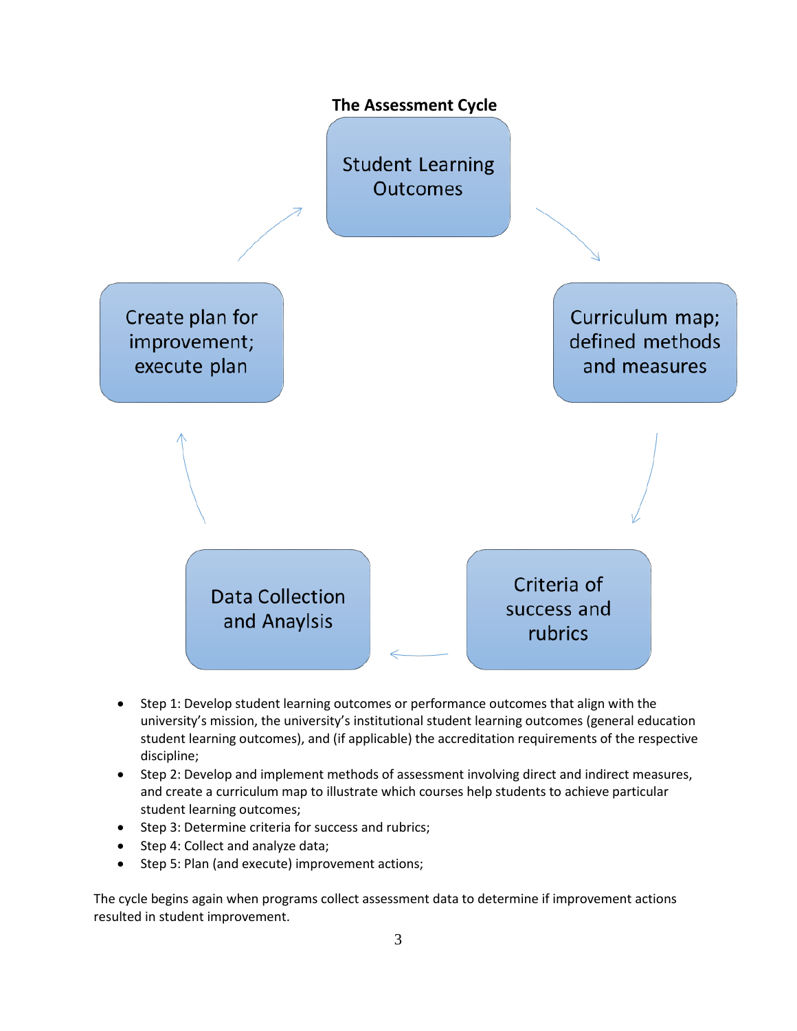

- Step 1: Develop student learning outcomes or performance outcomes that align with the university's mission, the university's institutional student learning outcomes (general education student learning outcomes), and (if applicable) the accreditation requirements of the respective discipline;
- Step 2: Develop and implement methods of assessment involving direct and indirect measures, and create a curriculum map to illustrate which courses help students to achieve particular student learning outcomes;
- Step 3: Determine criteria for success and rubrics;
- Step 4: Collect and analyze data;
- Step 5: Plan (and execute) improvement actions;

The cycle begins again when programs collect assessment data to determine if improvement actions resulted in student improvement.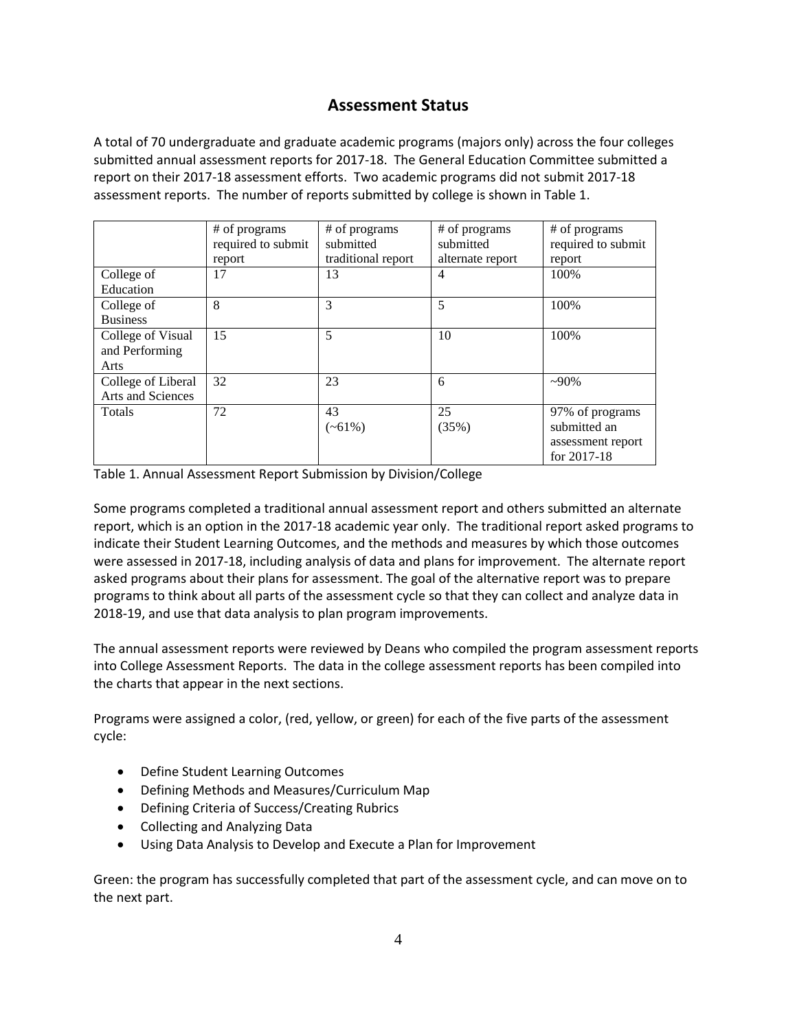# **Assessment Status**

A total of 70 undergraduate and graduate academic programs (majors only) across the four colleges submitted annual assessment reports for 2017-18. The General Education Committee submitted a report on their 2017-18 assessment efforts. Two academic programs did not submit 2017-18 assessment reports. The number of reports submitted by college is shown in Table 1.

|                                             | # of programs<br>required to submit<br>report | # of programs<br>submitted<br>traditional report | # of programs<br>submitted<br>alternate report | # of programs<br>required to submit<br>report                       |
|---------------------------------------------|-----------------------------------------------|--------------------------------------------------|------------------------------------------------|---------------------------------------------------------------------|
| College of<br>Education                     | 17                                            | 13                                               | $\overline{4}$                                 | 100%                                                                |
| College of<br><b>Business</b>               | 8                                             | 3                                                | 5                                              | 100%                                                                |
| College of Visual<br>and Performing<br>Arts | 15                                            | 5                                                | 10                                             | 100%                                                                |
| College of Liberal<br>Arts and Sciences     | 32                                            | 23                                               | 6                                              | $-90\%$                                                             |
| Totals                                      | 72                                            | 43<br>$(-61\%)$                                  | 25<br>(35%)                                    | 97% of programs<br>submitted an<br>assessment report<br>for 2017-18 |

Table 1. Annual Assessment Report Submission by Division/College

Some programs completed a traditional annual assessment report and others submitted an alternate report, which is an option in the 2017-18 academic year only. The traditional report asked programs to indicate their Student Learning Outcomes, and the methods and measures by which those outcomes were assessed in 2017-18, including analysis of data and plans for improvement. The alternate report asked programs about their plans for assessment. The goal of the alternative report was to prepare programs to think about all parts of the assessment cycle so that they can collect and analyze data in 2018-19, and use that data analysis to plan program improvements.

The annual assessment reports were reviewed by Deans who compiled the program assessment reports into College Assessment Reports. The data in the college assessment reports has been compiled into the charts that appear in the next sections.

Programs were assigned a color, (red, yellow, or green) for each of the five parts of the assessment cycle:

- Define Student Learning Outcomes
- Defining Methods and Measures/Curriculum Map
- Defining Criteria of Success/Creating Rubrics
- Collecting and Analyzing Data
- Using Data Analysis to Develop and Execute a Plan for Improvement

Green: the program has successfully completed that part of the assessment cycle, and can move on to the next part.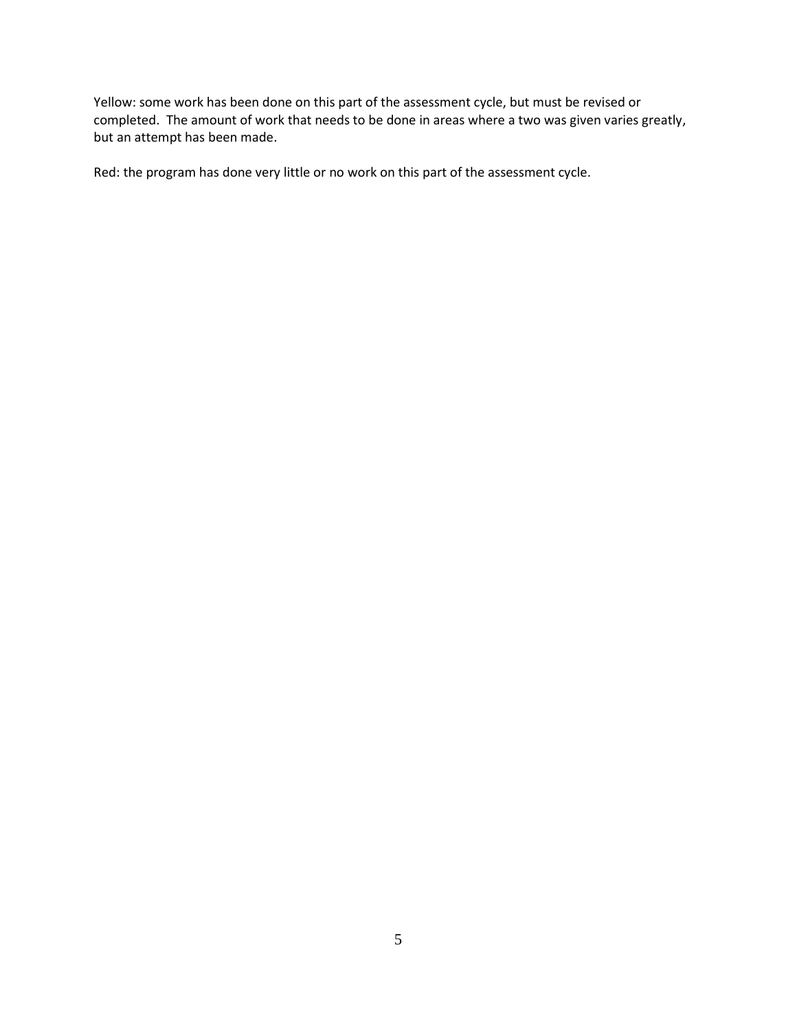Yellow: some work has been done on this part of the assessment cycle, but must be revised or completed. The amount of work that needs to be done in areas where a two was given varies greatly, but an attempt has been made.

Red: the program has done very little or no work on this part of the assessment cycle.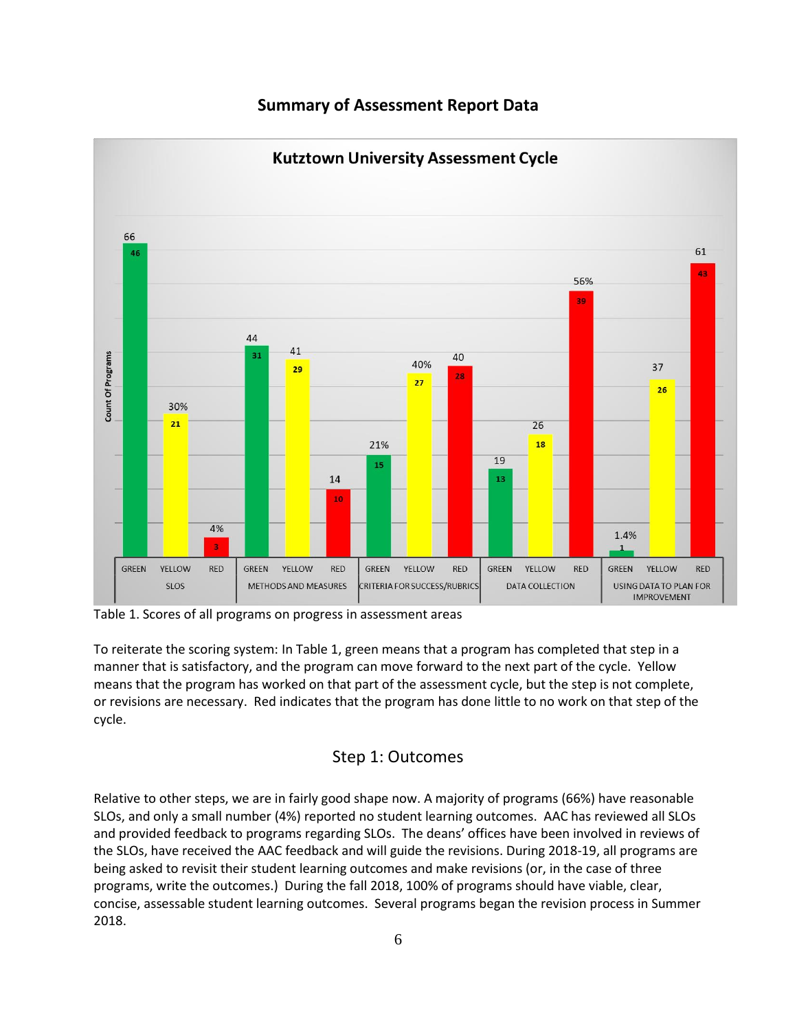



Table 1. Scores of all programs on progress in assessment areas

To reiterate the scoring system: In Table 1, green means that a program has completed that step in a manner that is satisfactory, and the program can move forward to the next part of the cycle. Yellow means that the program has worked on that part of the assessment cycle, but the step is not complete, or revisions are necessary. Red indicates that the program has done little to no work on that step of the cycle.

### Step 1: Outcomes

Relative to other steps, we are in fairly good shape now. A majority of programs (66%) have reasonable SLOs, and only a small number (4%) reported no student learning outcomes. AAC has reviewed all SLOs and provided feedback to programs regarding SLOs. The deans' offices have been involved in reviews of the SLOs, have received the AAC feedback and will guide the revisions. During 2018-19, all programs are being asked to revisit their student learning outcomes and make revisions (or, in the case of three programs, write the outcomes.) During the fall 2018, 100% of programs should have viable, clear, concise, assessable student learning outcomes. Several programs began the revision process in Summer 2018.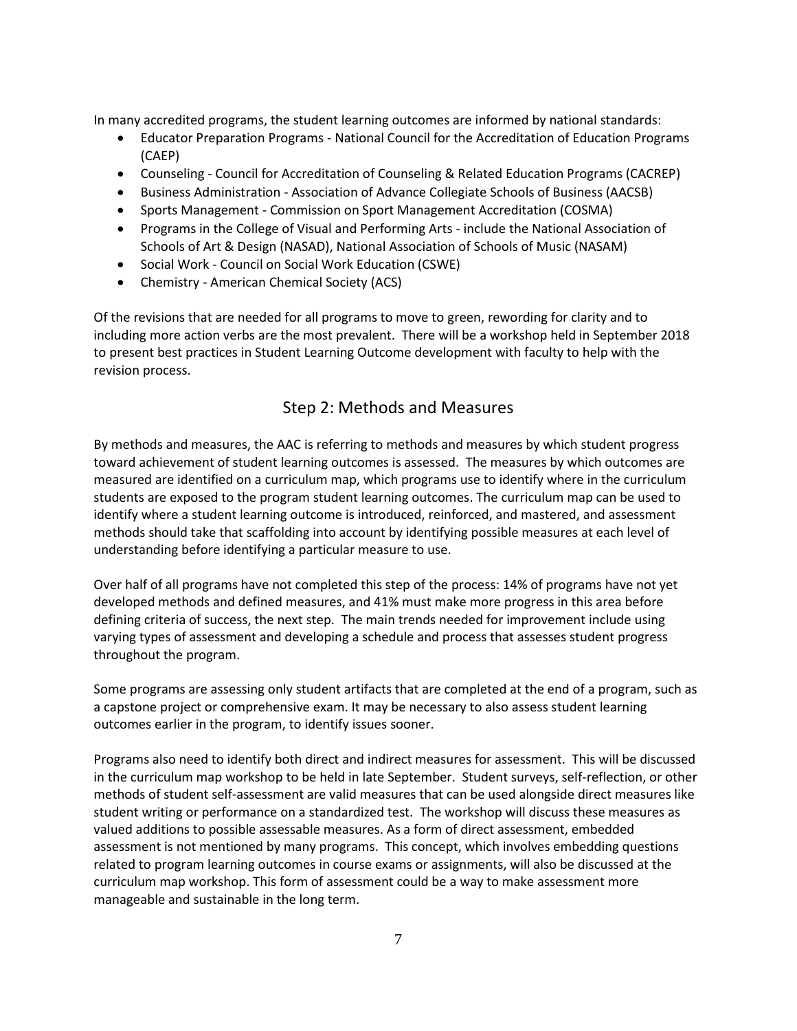In many accredited programs, the student learning outcomes are informed by national standards:

- Educator Preparation Programs National Council for the Accreditation of Education Programs (CAEP)
- Counseling Council for Accreditation of Counseling & Related Education Programs (CACREP)
- Business Administration Association of Advance Collegiate Schools of Business (AACSB)
- Sports Management Commission on Sport Management Accreditation (COSMA)
- Programs in the College of Visual and Performing Arts include the National Association of Schools of Art & Design (NASAD), National Association of Schools of Music (NASAM)
- Social Work Council on Social Work Education (CSWE)
- Chemistry American Chemical Society (ACS)

Of the revisions that are needed for all programs to move to green, rewording for clarity and to including more action verbs are the most prevalent. There will be a workshop held in September 2018 to present best practices in Student Learning Outcome development with faculty to help with the revision process.

### Step 2: Methods and Measures

By methods and measures, the AAC is referring to methods and measures by which student progress toward achievement of student learning outcomes is assessed. The measures by which outcomes are measured are identified on a curriculum map, which programs use to identify where in the curriculum students are exposed to the program student learning outcomes. The curriculum map can be used to identify where a student learning outcome is introduced, reinforced, and mastered, and assessment methods should take that scaffolding into account by identifying possible measures at each level of understanding before identifying a particular measure to use.

Over half of all programs have not completed this step of the process: 14% of programs have not yet developed methods and defined measures, and 41% must make more progress in this area before defining criteria of success, the next step. The main trends needed for improvement include using varying types of assessment and developing a schedule and process that assesses student progress throughout the program.

Some programs are assessing only student artifacts that are completed at the end of a program, such as a capstone project or comprehensive exam. It may be necessary to also assess student learning outcomes earlier in the program, to identify issues sooner.

Programs also need to identify both direct and indirect measures for assessment. This will be discussed in the curriculum map workshop to be held in late September. Student surveys, self-reflection, or other methods of student self-assessment are valid measures that can be used alongside direct measures like student writing or performance on a standardized test. The workshop will discuss these measures as valued additions to possible assessable measures. As a form of direct assessment, embedded assessment is not mentioned by many programs. This concept, which involves embedding questions related to program learning outcomes in course exams or assignments, will also be discussed at the curriculum map workshop. This form of assessment could be a way to make assessment more manageable and sustainable in the long term.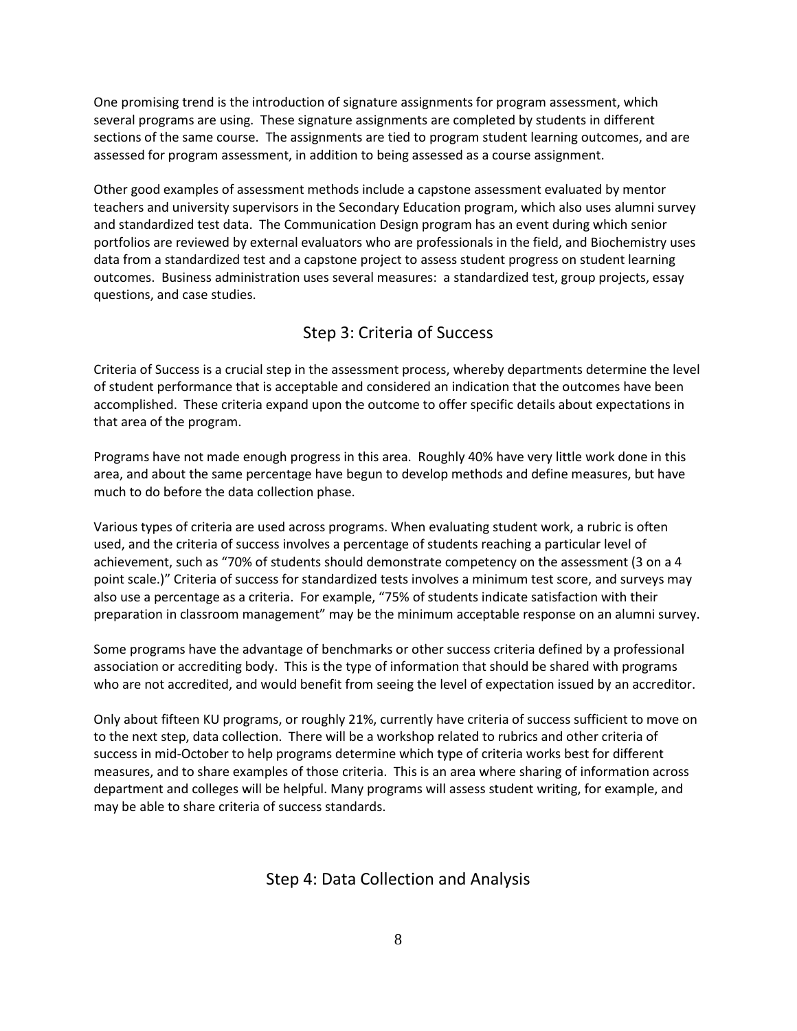One promising trend is the introduction of signature assignments for program assessment, which several programs are using. These signature assignments are completed by students in different sections of the same course. The assignments are tied to program student learning outcomes, and are assessed for program assessment, in addition to being assessed as a course assignment.

Other good examples of assessment methods include a capstone assessment evaluated by mentor teachers and university supervisors in the Secondary Education program, which also uses alumni survey and standardized test data. The Communication Design program has an event during which senior portfolios are reviewed by external evaluators who are professionals in the field, and Biochemistry uses data from a standardized test and a capstone project to assess student progress on student learning outcomes. Business administration uses several measures: a standardized test, group projects, essay questions, and case studies.

### Step 3: Criteria of Success

Criteria of Success is a crucial step in the assessment process, whereby departments determine the level of student performance that is acceptable and considered an indication that the outcomes have been accomplished. These criteria expand upon the outcome to offer specific details about expectations in that area of the program.

Programs have not made enough progress in this area. Roughly 40% have very little work done in this area, and about the same percentage have begun to develop methods and define measures, but have much to do before the data collection phase.

Various types of criteria are used across programs. When evaluating student work, a rubric is often used, and the criteria of success involves a percentage of students reaching a particular level of achievement, such as "70% of students should demonstrate competency on the assessment (3 on a 4 point scale.)" Criteria of success for standardized tests involves a minimum test score, and surveys may also use a percentage as a criteria. For example, "75% of students indicate satisfaction with their preparation in classroom management" may be the minimum acceptable response on an alumni survey.

Some programs have the advantage of benchmarks or other success criteria defined by a professional association or accrediting body. This is the type of information that should be shared with programs who are not accredited, and would benefit from seeing the level of expectation issued by an accreditor.

Only about fifteen KU programs, or roughly 21%, currently have criteria of success sufficient to move on to the next step, data collection. There will be a workshop related to rubrics and other criteria of success in mid-October to help programs determine which type of criteria works best for different measures, and to share examples of those criteria. This is an area where sharing of information across department and colleges will be helpful. Many programs will assess student writing, for example, and may be able to share criteria of success standards.

### Step 4: Data Collection and Analysis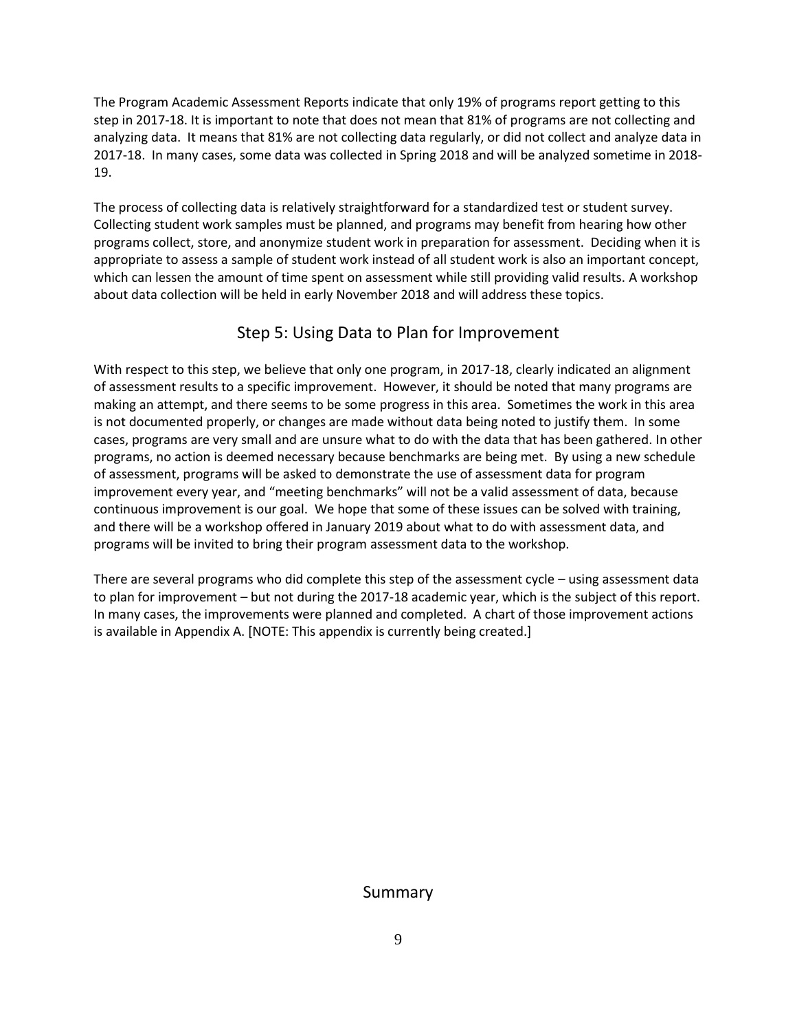The Program Academic Assessment Reports indicate that only 19% of programs report getting to this step in 2017-18. It is important to note that does not mean that 81% of programs are not collecting and analyzing data. It means that 81% are not collecting data regularly, or did not collect and analyze data in 2017-18. In many cases, some data was collected in Spring 2018 and will be analyzed sometime in 2018- 19.

The process of collecting data is relatively straightforward for a standardized test or student survey. Collecting student work samples must be planned, and programs may benefit from hearing how other programs collect, store, and anonymize student work in preparation for assessment. Deciding when it is appropriate to assess a sample of student work instead of all student work is also an important concept, which can lessen the amount of time spent on assessment while still providing valid results. A workshop about data collection will be held in early November 2018 and will address these topics.

# Step 5: Using Data to Plan for Improvement

With respect to this step, we believe that only one program, in 2017-18, clearly indicated an alignment of assessment results to a specific improvement. However, it should be noted that many programs are making an attempt, and there seems to be some progress in this area. Sometimes the work in this area is not documented properly, or changes are made without data being noted to justify them. In some cases, programs are very small and are unsure what to do with the data that has been gathered. In other programs, no action is deemed necessary because benchmarks are being met. By using a new schedule of assessment, programs will be asked to demonstrate the use of assessment data for program improvement every year, and "meeting benchmarks" will not be a valid assessment of data, because continuous improvement is our goal. We hope that some of these issues can be solved with training, and there will be a workshop offered in January 2019 about what to do with assessment data, and programs will be invited to bring their program assessment data to the workshop.

There are several programs who did complete this step of the assessment cycle – using assessment data to plan for improvement – but not during the 2017-18 academic year, which is the subject of this report. In many cases, the improvements were planned and completed. A chart of those improvement actions is available in Appendix A. [NOTE: This appendix is currently being created.]

### Summary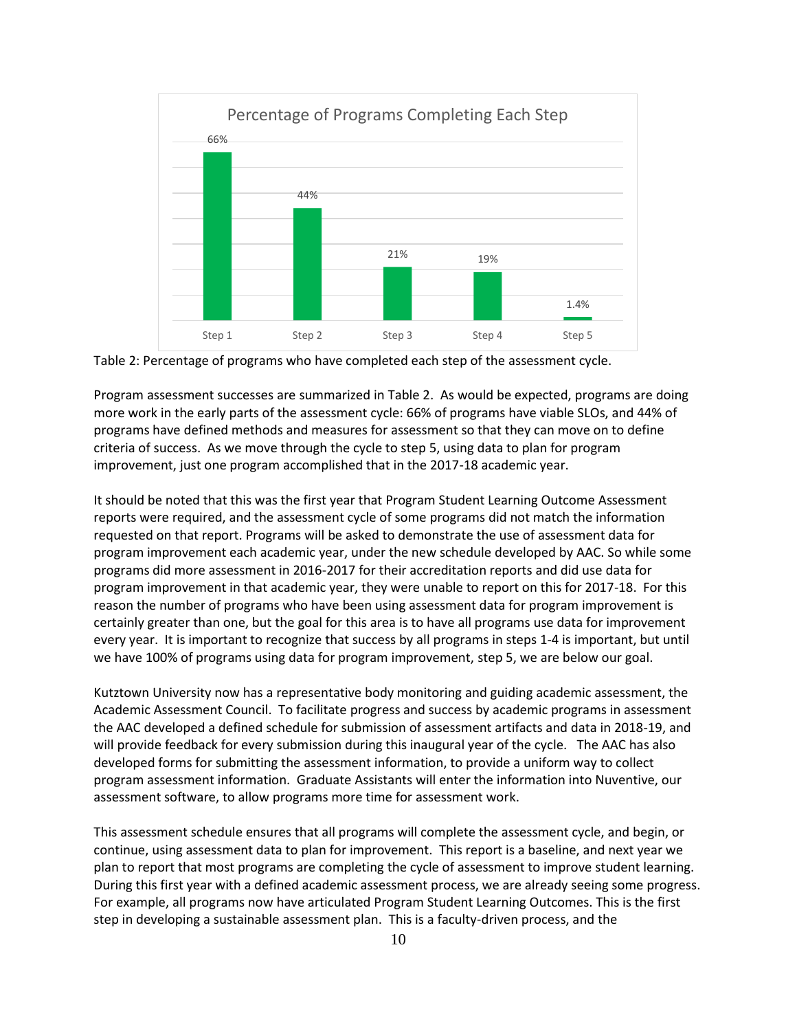

Table 2: Percentage of programs who have completed each step of the assessment cycle.

Program assessment successes are summarized in Table 2. As would be expected, programs are doing more work in the early parts of the assessment cycle: 66% of programs have viable SLOs, and 44% of programs have defined methods and measures for assessment so that they can move on to define criteria of success. As we move through the cycle to step 5, using data to plan for program improvement, just one program accomplished that in the 2017-18 academic year.

It should be noted that this was the first year that Program Student Learning Outcome Assessment reports were required, and the assessment cycle of some programs did not match the information requested on that report. Programs will be asked to demonstrate the use of assessment data for program improvement each academic year, under the new schedule developed by AAC. So while some programs did more assessment in 2016-2017 for their accreditation reports and did use data for program improvement in that academic year, they were unable to report on this for 2017-18. For this reason the number of programs who have been using assessment data for program improvement is certainly greater than one, but the goal for this area is to have all programs use data for improvement every year. It is important to recognize that success by all programs in steps 1-4 is important, but until we have 100% of programs using data for program improvement, step 5, we are below our goal.

Kutztown University now has a representative body monitoring and guiding academic assessment, the Academic Assessment Council. To facilitate progress and success by academic programs in assessment the AAC developed a defined schedule for submission of assessment artifacts and data in 2018-19, and will provide feedback for every submission during this inaugural year of the cycle. The AAC has also developed forms for submitting the assessment information, to provide a uniform way to collect program assessment information. Graduate Assistants will enter the information into Nuventive, our assessment software, to allow programs more time for assessment work.

This assessment schedule ensures that all programs will complete the assessment cycle, and begin, or continue, using assessment data to plan for improvement. This report is a baseline, and next year we plan to report that most programs are completing the cycle of assessment to improve student learning. During this first year with a defined academic assessment process, we are already seeing some progress. For example, all programs now have articulated Program Student Learning Outcomes. This is the first step in developing a sustainable assessment plan. This is a faculty-driven process, and the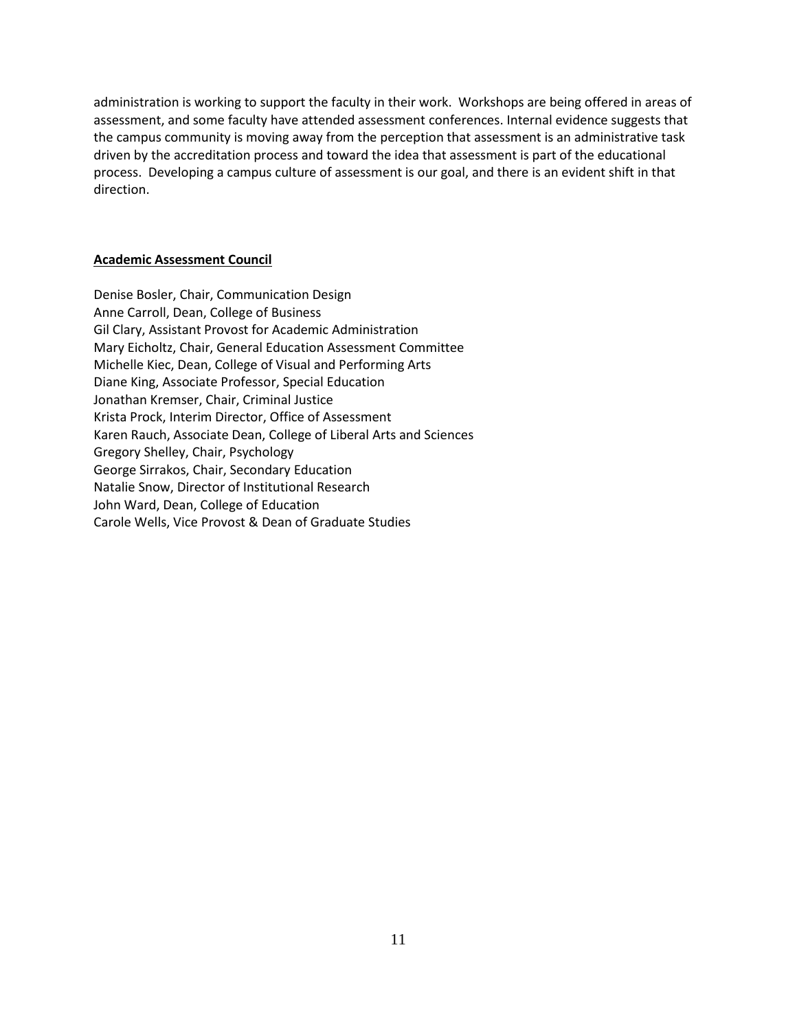administration is working to support the faculty in their work. Workshops are being offered in areas of assessment, and some faculty have attended assessment conferences. Internal evidence suggests that the campus community is moving away from the perception that assessment is an administrative task driven by the accreditation process and toward the idea that assessment is part of the educational process. Developing a campus culture of assessment is our goal, and there is an evident shift in that direction.

#### **Academic Assessment Council**

Denise Bosler, Chair, Communication Design Anne Carroll, Dean, College of Business Gil Clary, Assistant Provost for Academic Administration Mary Eicholtz, Chair, General Education Assessment Committee Michelle Kiec, Dean, College of Visual and Performing Arts Diane King, Associate Professor, Special Education Jonathan Kremser, Chair, Criminal Justice Krista Prock, Interim Director, Office of Assessment Karen Rauch, Associate Dean, College of Liberal Arts and Sciences Gregory Shelley, Chair, Psychology George Sirrakos, Chair, Secondary Education Natalie Snow, Director of Institutional Research John Ward, Dean, College of Education Carole Wells, Vice Provost & Dean of Graduate Studies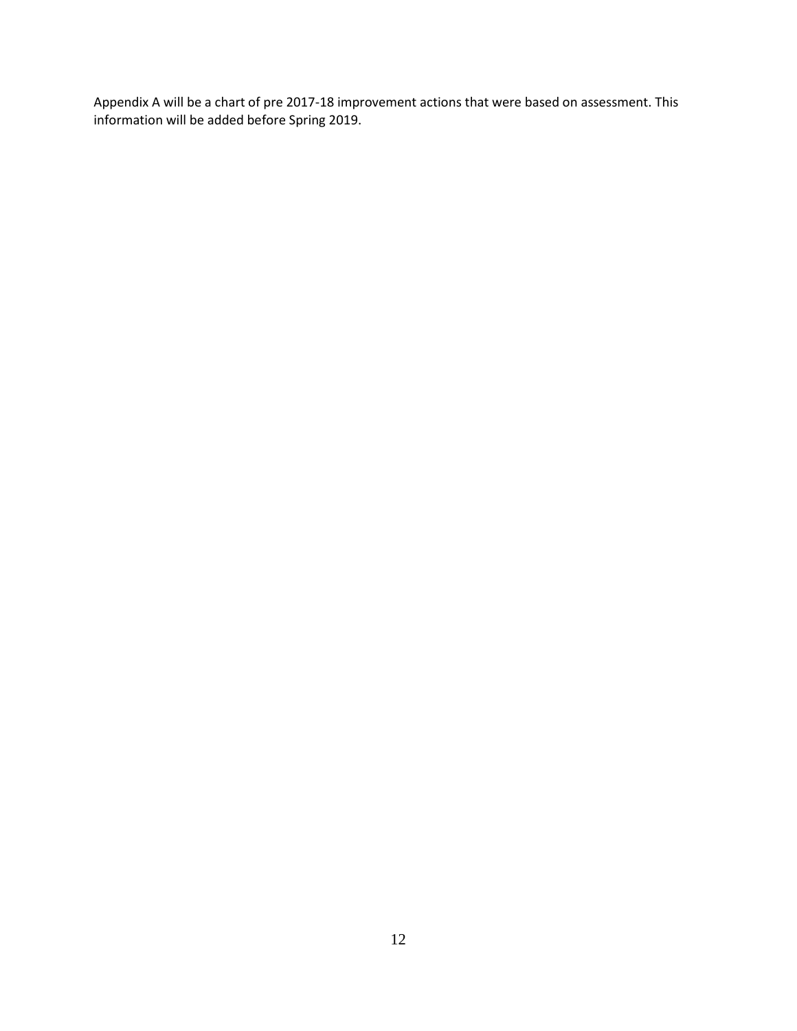Appendix A will be a chart of pre 2017-18 improvement actions that were based on assessment. This information will be added before Spring 2019.